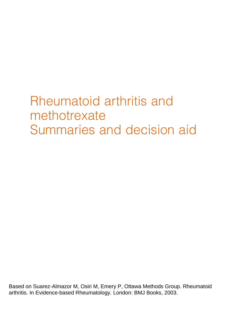# Rheumatoid arthritis and methotrexate Summaries and decision aid

Based on Suarez-Almazor M, Osiri M, Emery P, Ottawa Methods Group. Rheumatoid arthritis. In Evidence-based Rheumatology. London: BMJ Books, 2003.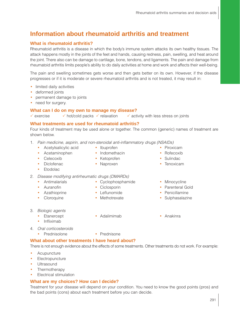# **Information about rheumatoid arthritis and treatment**

# **What is rheumatoid arthritis?**

Rheumatoid arthritis is a disease in which the body's immune system attacks its own healthy tissues. The attack happens mostly in the joints of the feet and hands, causing redness, pain, swelling, and heat around the joint. There also can be damage to cartilage, bone, tendons, and ligaments. The pain and damage from rheumatoid arthritis limits people's ability to do daily activities at home and work and affects their well-being.

The pain and swelling sometimes gets worse and then gets better on its own. However, if the disease progresses or if it is moderate or severe rheumatoid arthritis and is not treated, it may result in:

- limited daily activities
- deformed joints
- permanent damage to joints
- need for surgery.

## **What can I do on my own to manage my disease?**

 $\checkmark$  exercise  $\checkmark$  hot/cold packs  $\checkmark$  relaxation  $\checkmark$  activity with less stress on joints

## **What treatments are used for rheumatoid arthritis?**

Four kinds of treatment may be used alone or together. The common (generic) names of treatment are shown below.

- 1. Pain medicine, aspirin, and non-steroidal anti-inflammatory drugs (NSAIDs)
	- Acetylsalicylic acid Ibuprofen • Piroxicam
		-

• Etodolac

- Celecoxib Ketoprofen Sulindac
- Diclofenac • Naproxen • Naproxen • Tenoxicam
- 2. Disease modifying antirheumatic drugs (DMARDs)
	- Antimalarials Cyclophosphamide Minocycline
	-
	- Azathioprine Leflunomide Penicillamine
	-
- 
- 
- Acetaminophen Indomethacin Rofecoxib
	-
	-
	-
- Auranofin Ciclosporin Parenteral Gold
	-
- Cloroquine Methotrexate Sulphasalazine
- 3. Biologic agents
	-
	- Infliximab
- 4. Oral corticosteroids
	- Prednisolone Prednisone

## **What about other treatments I have heard about?**

There is not enough evidence about the effects of some treatments. Other treatments do not work. For example:

- Acupuncture
- Electropuncture
- Ultrasound
- Thermotherapy
- Electrical stimulation

#### **What are my choices? How can I decide?**

Treatment for your disease will depend on your condition. You need to know the good points (pros) and the bad points (cons) about each treatment before you can decide.

291

- 
- 
- 
- 
- 
- 
- Etanercept Adalimimab Anakinra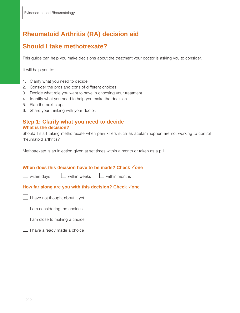# **Rheumatoid Arthritis (RA) decision aid**

# **Should I take methotrexate?**

This guide can help you make decisions about the treatment your doctor is asking you to consider.

It will help you to:

- 1. Clarify what you need to decide
- 2. Consider the pros and cons of different choices
- 3. Decide what role you want to have in choosing your treatment
- 4. Identify what you need to help you make the decision
- 5. Plan the next steps
- 6. Share your thinking with your doctor.

## **Step 1: Clarify what you need to decide What is the decision?**

Should I start taking methotrexate when pain killers such as acetaminophen are not working to control rheumatoid arthritis?

Methotrexate is an injection given at set times within a month or taken as a pill.

#### **When does this decision have to be made? Check √one**

 $\Box$  within days  $\Box$  within weeks  $\Box$  within months

#### **How far along are you with this decision? Check √one**



 $\Box$  I am considering the choices



 $\Box$  I have already made a choice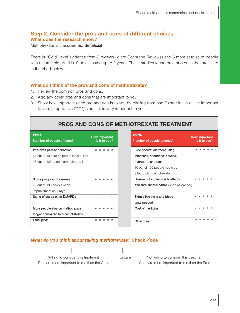# **Step 2. Consider the pros and cons of different choices What does the research show?**

Methotrexate is classified as: Beneficial

There is "Gold" level evidence from 7 reviews (2 are Cochrane Reviews) and 8 more studies of people with rheumatoid arthritis. Studies lasted up to 2 years. These studies found pros and cons that are listed in the chart below.

#### **What do I think of the pros and cons of methotrexate?**

- 1. Review the common pros and cons.
- 2. Add any other pros and cons that are important to you.
- 3. Show how important each pro and con is to you by circling from one (\*) star if it is a little important to you, to up to five (\*\*\*\*\*) stars if it is very important to you.

| PROS AND CONS OF METHOTREXATE TREATMENT                                  |                      |               |  |  |  |  |
|--------------------------------------------------------------------------|----------------------|---------------|--|--|--|--|
| <b>PROS</b><br>(number of people affected)                               | <b>How important</b> | is it to you? |  |  |  |  |
| Improves pain and function<br>46 out of 100 are helped at least a little |                      | * * * * *     |  |  |  |  |
| 23 out of 100 people are helped a lot                                    |                      |               |  |  |  |  |
| Slows progress of disease<br>70 out of 100 people show                   |                      | * * * * *     |  |  |  |  |
| improvement on x-rays<br>Same effect as other DMARDs                     |                      | * * * * *     |  |  |  |  |
|                                                                          |                      |               |  |  |  |  |
| More people stay on methotrexate<br>longer compared to other DMARDs      |                      | * * * * *     |  |  |  |  |
| Other pros:                                                              |                      | * * * * *     |  |  |  |  |

#### *What do you think about taking methotrexate?* **Check √one**

| this trea |  |
|-----------|--|

| ×, |  |
|----|--|

Pros are more important to me than the Cons Cons are more important to me than the Pros

Willing to consider this treatment Unsure Not willing to consider this treatment